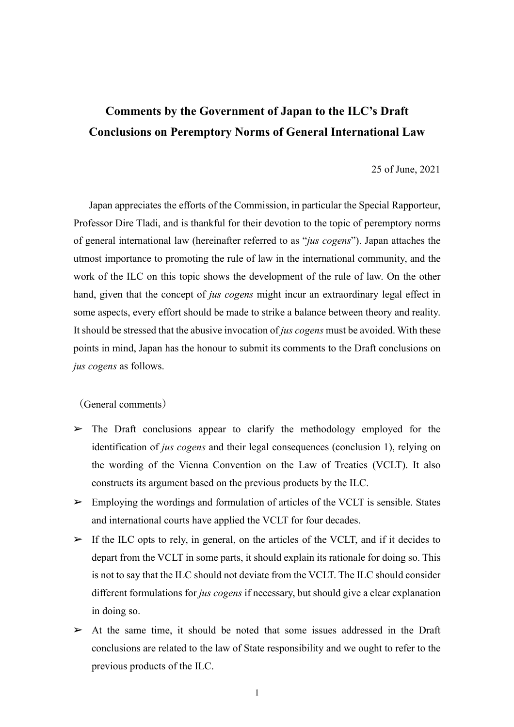# **Comments by the Government of Japan to the ILC's Draft Conclusions on Peremptory Norms of General International Law**

## 25 of June, 2021

Japan appreciates the efforts of the Commission, in particular the Special Rapporteur, Professor Dire Tladi, and is thankful for their devotion to the topic of peremptory norms of general international law (hereinafter referred to as "*jus cogens*"). Japan attaches the utmost importance to promoting the rule of law in the international community, and the work of the ILC on this topic shows the development of the rule of law. On the other hand, given that the concept of *jus cogens* might incur an extraordinary legal effect in some aspects, every effort should be made to strike a balance between theory and reality. It should be stressed that the abusive invocation of *jus cogens* must be avoided. With these points in mind, Japan has the honour to submit its comments to the Draft conclusions on *jus cogens* as follows.

(General comments)

- $\triangleright$  The Draft conclusions appear to clarify the methodology employed for the identification of *jus cogens* and their legal consequences (conclusion 1), relying on the wording of the Vienna Convention on the Law of Treaties (VCLT). It also constructs its argument based on the previous products by the ILC.
- $\triangleright$  Employing the wordings and formulation of articles of the VCLT is sensible. States and international courts have applied the VCLT for four decades.
- $\triangleright$  If the ILC opts to rely, in general, on the articles of the VCLT, and if it decides to depart from the VCLT in some parts, it should explain its rationale for doing so. This is not to say that the ILC should not deviate from the VCLT. The ILC should consider different formulations for *jus cogens* if necessary, but should give a clear explanation in doing so.
- $\triangleright$  At the same time, it should be noted that some issues addressed in the Draft conclusions are related to the law of State responsibility and we ought to refer to the previous products of the ILC.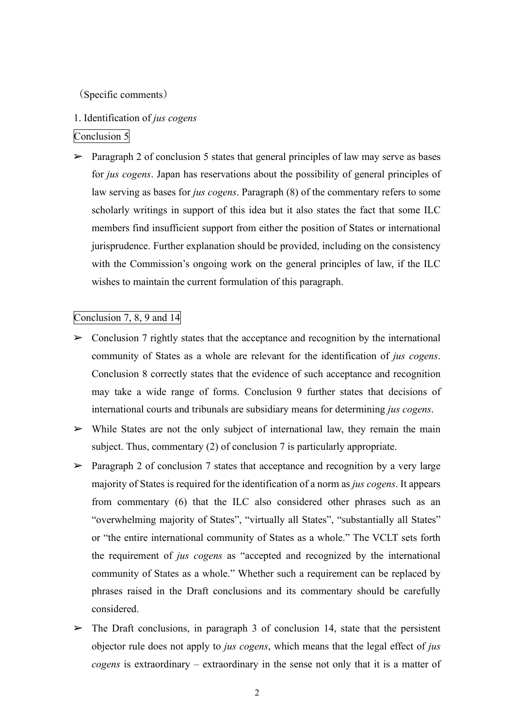(Specific comments)

## 1. Identification of *jus cogens*

## Conclusion 5

 $\triangleright$  Paragraph 2 of conclusion 5 states that general principles of law may serve as bases for *jus cogens*. Japan has reservations about the possibility of general principles of law serving as bases for *jus cogens*. Paragraph (8) of the commentary refers to some scholarly writings in support of this idea but it also states the fact that some ILC members find insufficient support from either the position of States or international jurisprudence. Further explanation should be provided, including on the consistency with the Commission's ongoing work on the general principles of law, if the ILC wishes to maintain the current formulation of this paragraph.

## Conclusion 7, 8, 9 and 14

- $\triangleright$  Conclusion 7 rightly states that the acceptance and recognition by the international community of States as a whole are relevant for the identification of *jus cogens*. Conclusion 8 correctly states that the evidence of such acceptance and recognition may take a wide range of forms. Conclusion 9 further states that decisions of international courts and tribunals are subsidiary means for determining *jus cogens*.
- $\triangleright$  While States are not the only subject of international law, they remain the main subject. Thus, commentary (2) of conclusion 7 is particularly appropriate.
- $\triangleright$  Paragraph 2 of conclusion 7 states that acceptance and recognition by a very large majority of States is required for the identification of a norm as *jus cogens*. It appears from commentary (6) that the ILC also considered other phrases such as an "overwhelming majority of States", "virtually all States", "substantially all States" or "the entire international community of States as a whole." The VCLT sets forth the requirement of *jus cogens* as "accepted and recognized by the international community of States as a whole." Whether such a requirement can be replaced by phrases raised in the Draft conclusions and its commentary should be carefully considered.
- $\triangleright$  The Draft conclusions, in paragraph 3 of conclusion 14, state that the persistent objector rule does not apply to *jus cogens*, which means that the legal effect of *jus cogens* is extraordinary – extraordinary in the sense not only that it is a matter of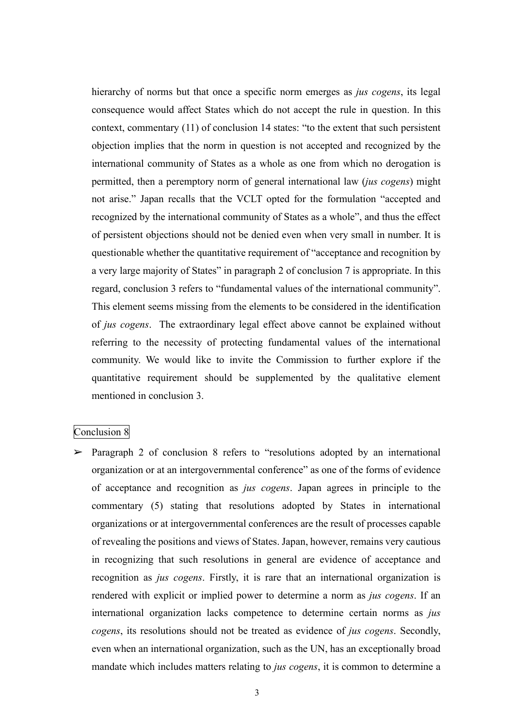hierarchy of norms but that once a specific norm emerges as *jus cogens*, its legal consequence would affect States which do not accept the rule in question. In this context, commentary (11) of conclusion 14 states: "to the extent that such persistent objection implies that the norm in question is not accepted and recognized by the international community of States as a whole as one from which no derogation is permitted, then a peremptory norm of general international law (*jus cogens*) might not arise." Japan recalls that the VCLT opted for the formulation "accepted and recognized by the international community of States as a whole", and thus the effect of persistent objections should not be denied even when very small in number. It is questionable whether the quantitative requirement of "acceptance and recognition by a very large majority of States" in paragraph 2 of conclusion 7 is appropriate. In this regard, conclusion 3 refers to "fundamental values of the international community". This element seems missing from the elements to be considered in the identification of *jus cogens*. The extraordinary legal effect above cannot be explained without referring to the necessity of protecting fundamental values of the international community. We would like to invite the Commission to further explore if the quantitative requirement should be supplemented by the qualitative element mentioned in conclusion 3.

#### Conclusion 8

 $\triangleright$  Paragraph 2 of conclusion 8 refers to "resolutions adopted by an international organization or at an intergovernmental conference" as one of the forms of evidence of acceptance and recognition as *jus cogens*. Japan agrees in principle to the commentary (5) stating that resolutions adopted by States in international organizations or at intergovernmental conferences are the result of processes capable of revealing the positions and views of States. Japan, however, remains very cautious in recognizing that such resolutions in general are evidence of acceptance and recognition as *jus cogens*. Firstly, it is rare that an international organization is rendered with explicit or implied power to determine a norm as *jus cogens*. If an international organization lacks competence to determine certain norms as *jus cogens*, its resolutions should not be treated as evidence of *jus cogens*. Secondly, even when an international organization, such as the UN, has an exceptionally broad mandate which includes matters relating to *jus cogens*, it is common to determine a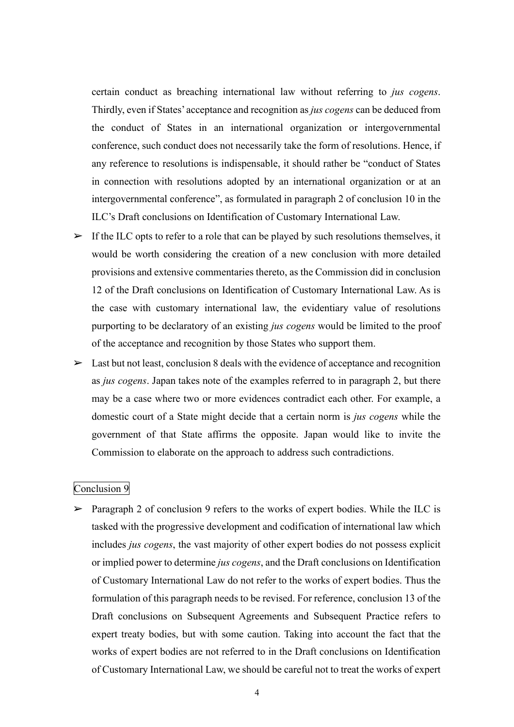certain conduct as breaching international law without referring to *jus cogens*. Thirdly, even if States' acceptance and recognition as *jus cogens* can be deduced from the conduct of States in an international organization or intergovernmental conference, such conduct does not necessarily take the form of resolutions. Hence, if any reference to resolutions is indispensable, it should rather be "conduct of States in connection with resolutions adopted by an international organization or at an intergovernmental conference", as formulated in paragraph 2 of conclusion 10 in the ILC's Draft conclusions on Identification of Customary International Law.

- $\triangleright$  If the ILC opts to refer to a role that can be played by such resolutions themselves, it would be worth considering the creation of a new conclusion with more detailed provisions and extensive commentaries thereto, as the Commission did in conclusion 12 of the Draft conclusions on Identification of Customary International Law. As is the case with customary international law, the evidentiary value of resolutions purporting to be declaratory of an existing *jus cogens* would be limited to the proof of the acceptance and recognition by those States who support them.
- $\triangleright$  Last but not least, conclusion 8 deals with the evidence of acceptance and recognition as *jus cogens*. Japan takes note of the examples referred to in paragraph 2, but there may be a case where two or more evidences contradict each other. For example, a domestic court of a State might decide that a certain norm is *jus cogens* while the government of that State affirms the opposite. Japan would like to invite the Commission to elaborate on the approach to address such contradictions.

# Conclusion 9

 $\triangleright$  Paragraph 2 of conclusion 9 refers to the works of expert bodies. While the ILC is tasked with the progressive development and codification of international law which includes *jus cogens*, the vast majority of other expert bodies do not possess explicit or implied power to determine *jus cogens*, and the Draft conclusions on Identification of Customary International Law do not refer to the works of expert bodies. Thus the formulation of this paragraph needs to be revised. For reference, conclusion 13 of the Draft conclusions on Subsequent Agreements and Subsequent Practice refers to expert treaty bodies, but with some caution. Taking into account the fact that the works of expert bodies are not referred to in the Draft conclusions on Identification of Customary International Law, we should be careful not to treat the works of expert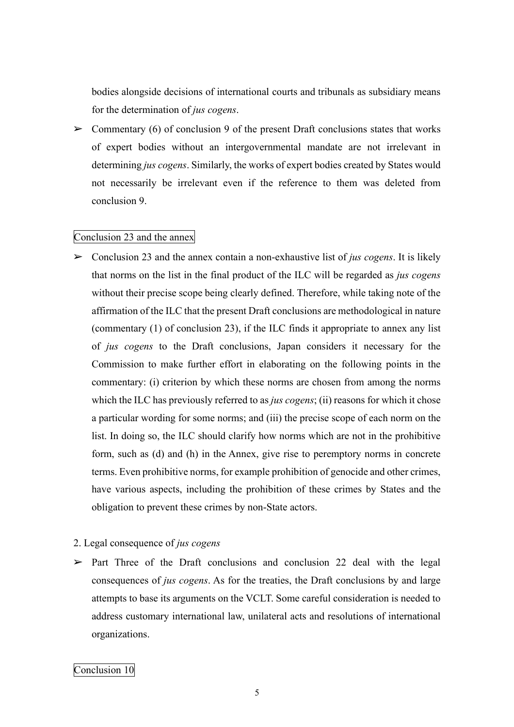bodies alongside decisions of international courts and tribunals as subsidiary means for the determination of *jus cogens*.

 $\triangleright$  Commentary (6) of conclusion 9 of the present Draft conclusions states that works of expert bodies without an intergovernmental mandate are not irrelevant in determining *jus cogens*. Similarly, the works of expert bodies created by States would not necessarily be irrelevant even if the reference to them was deleted from conclusion 9.

## Conclusion 23 and the annex

- ➢ Conclusion 23 and the annex contain a non-exhaustive list of *jus cogens*. It is likely that norms on the list in the final product of the ILC will be regarded as *jus cogens* without their precise scope being clearly defined. Therefore, while taking note of the affirmation of the ILC that the present Draft conclusions are methodological in nature (commentary (1) of conclusion 23), if the ILC finds it appropriate to annex any list of *jus cogens* to the Draft conclusions, Japan considers it necessary for the Commission to make further effort in elaborating on the following points in the commentary: (i) criterion by which these norms are chosen from among the norms which the ILC has previously referred to as *jus cogens*; (ii) reasons for which it chose a particular wording for some norms; and (iii) the precise scope of each norm on the list. In doing so, the ILC should clarify how norms which are not in the prohibitive form, such as (d) and (h) in the Annex, give rise to peremptory norms in concrete terms. Even prohibitive norms, for example prohibition of genocide and other crimes, have various aspects, including the prohibition of these crimes by States and the obligation to prevent these crimes by non-State actors.
- 2. Legal consequence of *jus cogens*
- $\triangleright$  Part Three of the Draft conclusions and conclusion 22 deal with the legal consequences of *jus cogens*. As for the treaties, the Draft conclusions by and large attempts to base its arguments on the VCLT. Some careful consideration is needed to address customary international law, unilateral acts and resolutions of international organizations.

## Conclusion 10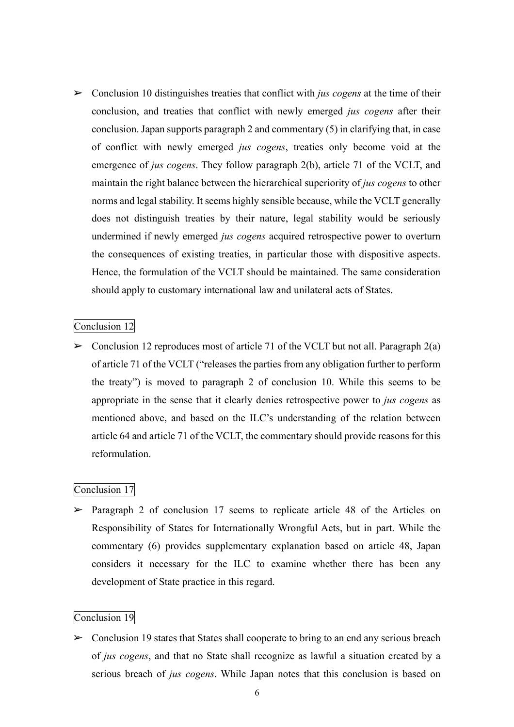➢ Conclusion 10 distinguishes treaties that conflict with *jus cogens* at the time of their conclusion, and treaties that conflict with newly emerged *jus cogens* after their conclusion. Japan supports paragraph 2 and commentary (5) in clarifying that, in case of conflict with newly emerged *jus cogens*, treaties only become void at the emergence of *jus cogens*. They follow paragraph 2(b), article 71 of the VCLT, and maintain the right balance between the hierarchical superiority of *jus cogens* to other norms and legal stability. It seems highly sensible because, while the VCLT generally does not distinguish treaties by their nature, legal stability would be seriously undermined if newly emerged *jus cogens* acquired retrospective power to overturn the consequences of existing treaties, in particular those with dispositive aspects. Hence, the formulation of the VCLT should be maintained. The same consideration should apply to customary international law and unilateral acts of States.

## Conclusion 12

 $\triangleright$  Conclusion 12 reproduces most of article 71 of the VCLT but not all. Paragraph 2(a) of article 71 of the VCLT ("releases the parties from any obligation further to perform the treaty") is moved to paragraph 2 of conclusion 10. While this seems to be appropriate in the sense that it clearly denies retrospective power to *jus cogens* as mentioned above, and based on the ILC's understanding of the relation between article 64 and article 71 of the VCLT, the commentary should provide reasons for this reformulation.

## Conclusion 17

 $\triangleright$  Paragraph 2 of conclusion 17 seems to replicate article 48 of the Articles on Responsibility of States for Internationally Wrongful Acts, but in part. While the commentary (6) provides supplementary explanation based on article 48, Japan considers it necessary for the ILC to examine whether there has been any development of State practice in this regard.

## Conclusion 19

 $\triangleright$  Conclusion 19 states that States shall cooperate to bring to an end any serious breach of *jus cogens*, and that no State shall recognize as lawful a situation created by a serious breach of *jus cogens*. While Japan notes that this conclusion is based on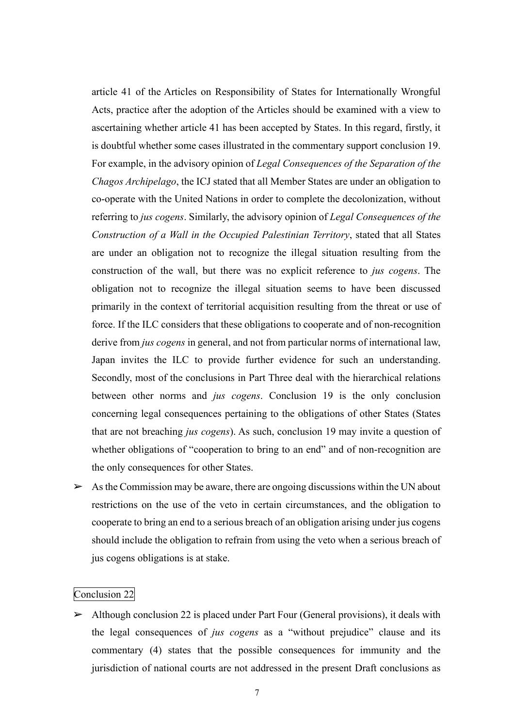article 41 of the Articles on Responsibility of States for Internationally Wrongful Acts, practice after the adoption of the Articles should be examined with a view to ascertaining whether article 41 has been accepted by States. In this regard, firstly, it is doubtful whether some cases illustrated in the commentary support conclusion 19. For example, in the advisory opinion of *Legal Consequences of the Separation of the Chagos Archipelago*, the ICJ stated that all Member States are under an obligation to co-operate with the United Nations in order to complete the decolonization, without referring to *jus cogens*. Similarly, the advisory opinion of *Legal Consequences of the Construction of a Wall in the Occupied Palestinian Territory*, stated that all States are under an obligation not to recognize the illegal situation resulting from the construction of the wall, but there was no explicit reference to *jus cogens*. The obligation not to recognize the illegal situation seems to have been discussed primarily in the context of territorial acquisition resulting from the threat or use of force. If the ILC considers that these obligations to cooperate and of non-recognition derive from *jus cogens* in general, and not from particular norms of international law, Japan invites the ILC to provide further evidence for such an understanding. Secondly, most of the conclusions in Part Three deal with the hierarchical relations between other norms and *jus cogens*. Conclusion 19 is the only conclusion concerning legal consequences pertaining to the obligations of other States (States that are not breaching *jus cogens*). As such, conclusion 19 may invite a question of whether obligations of "cooperation to bring to an end" and of non-recognition are the only consequences for other States.

 $\triangleright$  As the Commission may be aware, there are ongoing discussions within the UN about restrictions on the use of the veto in certain circumstances, and the obligation to cooperate to bring an end to a serious breach of an obligation arising under jus cogens should include the obligation to refrain from using the veto when a serious breach of jus cogens obligations is at stake.

#### Conclusion 22

 $\triangleright$  Although conclusion 22 is placed under Part Four (General provisions), it deals with the legal consequences of *jus cogens* as a "without prejudice" clause and its commentary (4) states that the possible consequences for immunity and the jurisdiction of national courts are not addressed in the present Draft conclusions as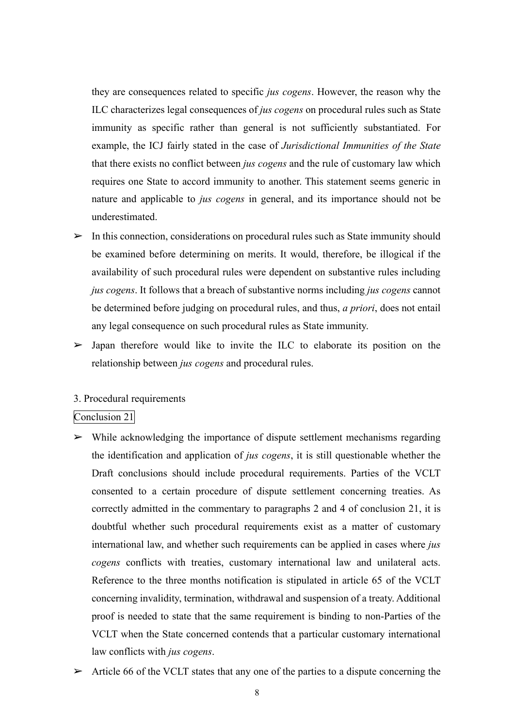they are consequences related to specific *jus cogens*. However, the reason why the ILC characterizes legal consequences of *jus cogens* on procedural rules such as State immunity as specific rather than general is not sufficiently substantiated. For example, the ICJ fairly stated in the case of *Jurisdictional Immunities of the State* that there exists no conflict between *jus cogens* and the rule of customary law which requires one State to accord immunity to another. This statement seems generic in nature and applicable to *jus cogens* in general, and its importance should not be underestimated.

- $\triangleright$  In this connection, considerations on procedural rules such as State immunity should be examined before determining on merits. It would, therefore, be illogical if the availability of such procedural rules were dependent on substantive rules including *jus cogens*. It follows that a breach of substantive norms including *jus cogens* cannot be determined before judging on procedural rules, and thus, *a priori*, does not entail any legal consequence on such procedural rules as State immunity.
- $\triangleright$  Japan therefore would like to invite the ILC to elaborate its position on the relationship between *jus cogens* and procedural rules.

#### 3. Procedural requirements

# Conclusion 21

- $\triangleright$  While acknowledging the importance of dispute settlement mechanisms regarding the identification and application of *jus cogens*, it is still questionable whether the Draft conclusions should include procedural requirements. Parties of the VCLT consented to a certain procedure of dispute settlement concerning treaties. As correctly admitted in the commentary to paragraphs 2 and 4 of conclusion 21, it is doubtful whether such procedural requirements exist as a matter of customary international law, and whether such requirements can be applied in cases where *jus cogens* conflicts with treaties, customary international law and unilateral acts. Reference to the three months notification is stipulated in article 65 of the VCLT concerning invalidity, termination, withdrawal and suspension of a treaty. Additional proof is needed to state that the same requirement is binding to non-Parties of the VCLT when the State concerned contends that a particular customary international law conflicts with *jus cogens*.
- $\triangleright$  Article 66 of the VCLT states that any one of the parties to a dispute concerning the